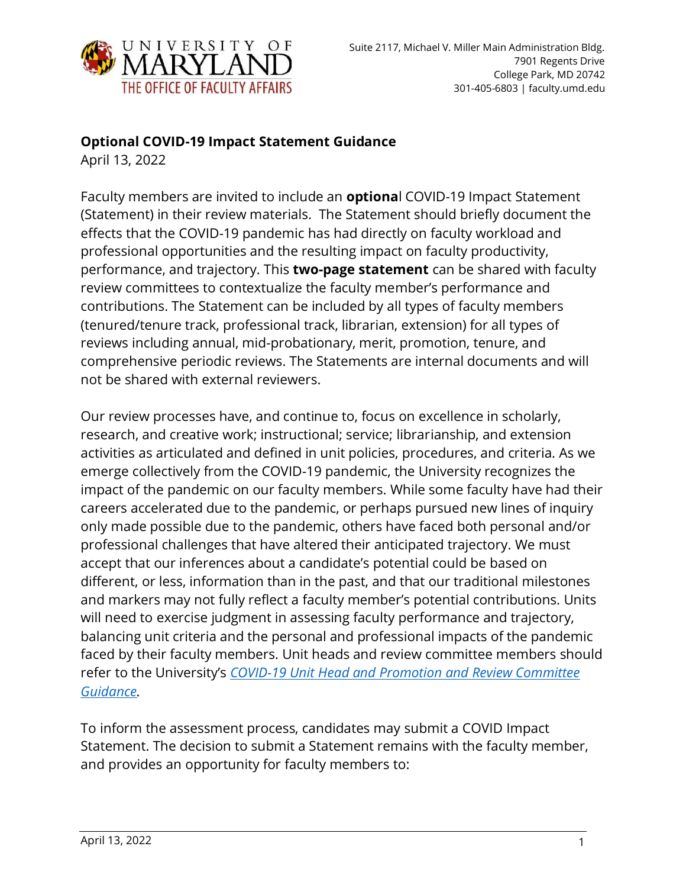

#### **Optional COVID-19 Impact Statement Guidance**

April 13, 2022

Faculty members are invited to include an **optiona**l COVID-19 Impact Statement (Statement) in their review materials. The Statement should briefly document the effects that the COVID-19 pandemic has had directly on faculty workload and professional opportunities and the resulting impact on faculty productivity, performance, and trajectory. This **two-page statement** can be shared with faculty review committees to contextualize the faculty member's performance and contributions. The Statement can be included by all types of faculty members (tenured/tenure track, professional track, librarian, extension) for all types of reviews including annual, mid-probationary, merit, promotion, tenure, and comprehensive periodic reviews. The Statements are internal documents and will not be shared with external reviewers.

Our review processes have, and continue to, focus on excellence in scholarly, research, and creative work; instructional; service; librarianship, and extension activities as articulated and defined in unit policies, procedures, and criteria. As we emerge collectively from the COVID-19 pandemic, the University recognizes the impact of the pandemic on our faculty members. While some faculty have had their careers accelerated due to the pandemic, or perhaps pursued new lines of inquiry only made possible due to the pandemic, others have faced both personal and/or professional challenges that have altered their anticipated trajectory. We must accept that our inferences about a candidate's potential could be based on different, or less, information than in the past, and that our traditional milestones and markers may not fully reflect a faculty member's potential contributions. Units will need to exercise judgment in assessing faculty performance and trajectory, balancing unit criteria and the personal and professional impacts of the pandemic faced by their faculty members. Unit heads and review committee members should refer to the University's *[COVID-19 Unit Head and Promotion and Review Committee](https://faculty.umd.edu/resources/covid-19-review-guidance)  [Guidance.](https://faculty.umd.edu/resources/covid-19-review-guidance)*

To inform the assessment process, candidates may submit a COVID Impact Statement. The decision to submit a Statement remains with the faculty member, and provides an opportunity for faculty members to: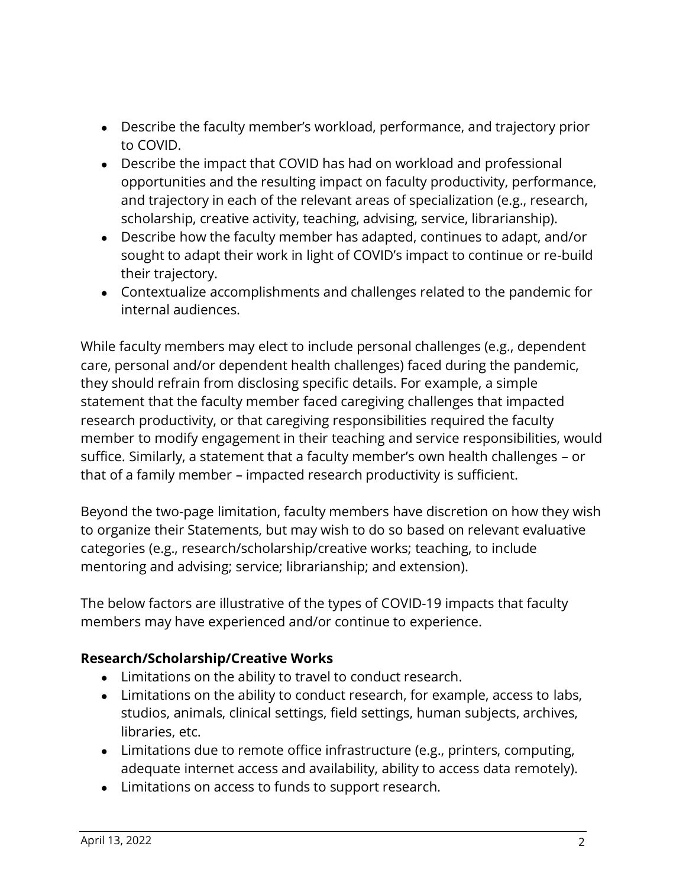- Describe the faculty member's workload, performance, and trajectory prior to COVID.
- Describe the impact that COVID has had on workload and professional opportunities and the resulting impact on faculty productivity, performance, and trajectory in each of the relevant areas of specialization (e.g., research, scholarship, creative activity, teaching, advising, service, librarianship).
- Describe how the faculty member has adapted, continues to adapt, and/or sought to adapt their work in light of COVID's impact to continue or re-build their trajectory.
- Contextualize accomplishments and challenges related to the pandemic for internal audiences.

While faculty members may elect to include personal challenges (e.g., dependent care, personal and/or dependent health challenges) faced during the pandemic, they should refrain from disclosing specific details. For example, a simple statement that the faculty member faced caregiving challenges that impacted research productivity, or that caregiving responsibilities required the faculty member to modify engagement in their teaching and service responsibilities, would suffice. Similarly, a statement that a faculty member's own health challenges – or that of a family member – impacted research productivity is sufficient.

Beyond the two-page limitation, faculty members have discretion on how they wish to organize their Statements, but may wish to do so based on relevant evaluative categories (e.g., research/scholarship/creative works; teaching, to include mentoring and advising; service; librarianship; and extension).

The below factors are illustrative of the types of COVID-19 impacts that faculty members may have experienced and/or continue to experience.

## **Research/Scholarship/Creative Works**

- Limitations on the ability to travel to conduct research.
- Limitations on the ability to conduct research, for example, access to labs, studios, animals, clinical settings, field settings, human subjects, archives, libraries, etc.
- Limitations due to remote office infrastructure (e.g., printers, computing, adequate internet access and availability, ability to access data remotely).
- Limitations on access to funds to support research.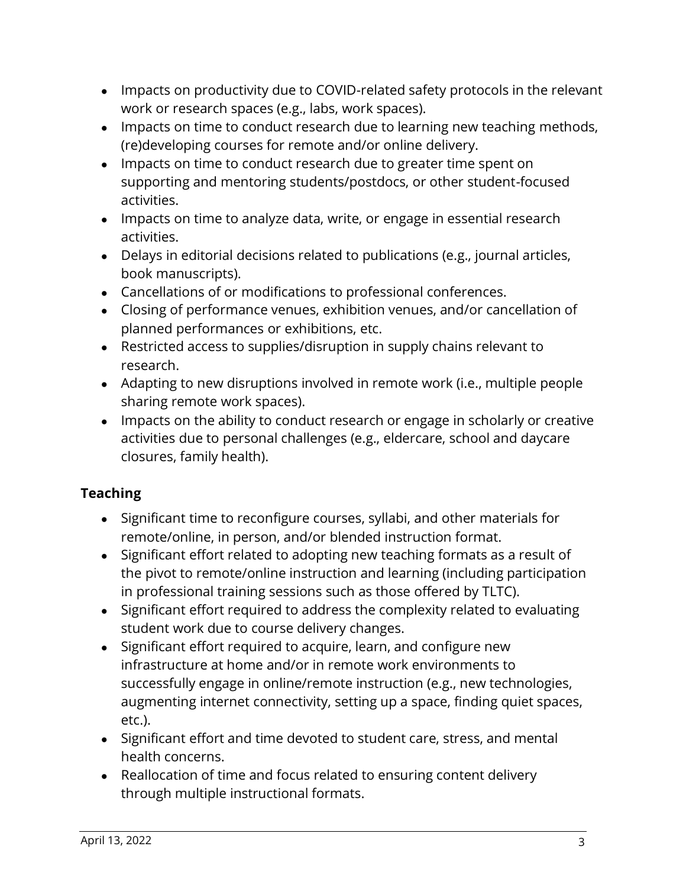- Impacts on productivity due to COVID-related safety protocols in the relevant work or research spaces (e.g., labs, work spaces).
- Impacts on time to conduct research due to learning new teaching methods, (re)developing courses for remote and/or online delivery.
- Impacts on time to conduct research due to greater time spent on supporting and mentoring students/postdocs, or other student-focused activities.
- Impacts on time to analyze data, write, or engage in essential research activities.
- Delays in editorial decisions related to publications (e.g., journal articles, book manuscripts).
- Cancellations of or modifications to professional conferences.
- Closing of performance venues, exhibition venues, and/or cancellation of planned performances or exhibitions, etc.
- Restricted access to supplies/disruption in supply chains relevant to research.
- Adapting to new disruptions involved in remote work (i.e., multiple people sharing remote work spaces).
- Impacts on the ability to conduct research or engage in scholarly or creative activities due to personal challenges (e.g., eldercare, school and daycare closures, family health).

# **Teaching**

- Significant time to reconfigure courses, syllabi, and other materials for remote/online, in person, and/or blended instruction format.
- Significant effort related to adopting new teaching formats as a result of the pivot to remote/online instruction and learning (including participation in professional training sessions such as those offered by TLTC).
- Significant effort required to address the complexity related to evaluating student work due to course delivery changes.
- Significant effort required to acquire, learn, and configure new infrastructure at home and/or in remote work environments to successfully engage in online/remote instruction (e.g., new technologies, augmenting internet connectivity, setting up a space, finding quiet spaces, etc.).
- Significant effort and time devoted to student care, stress, and mental health concerns.
- Reallocation of time and focus related to ensuring content delivery through multiple instructional formats.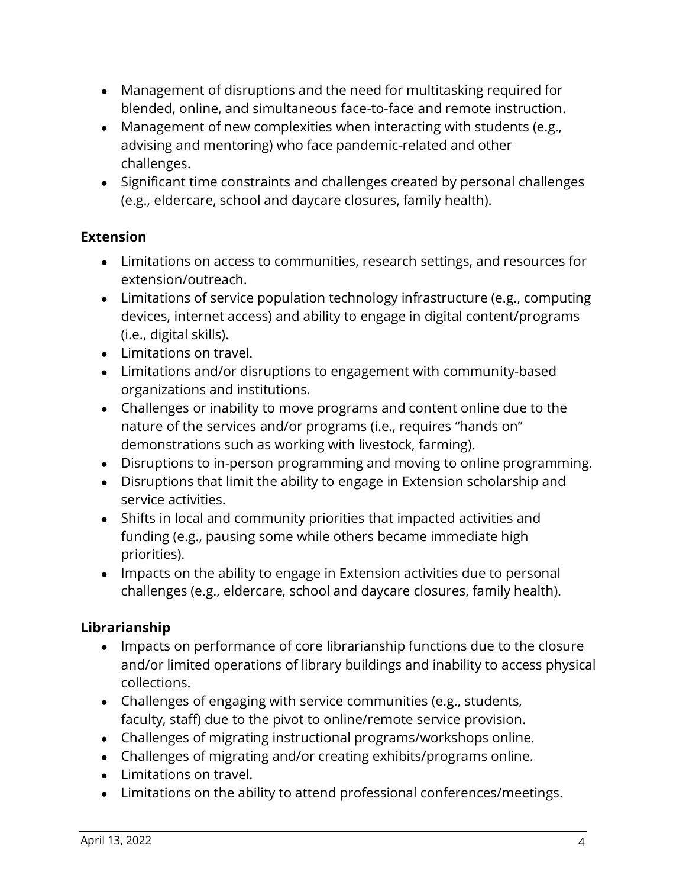- Management of disruptions and the need for multitasking required for blended, online, and simultaneous face-to-face and remote instruction.
- Management of new complexities when interacting with students (e.g., advising and mentoring) who face pandemic-related and other challenges.
- Significant time constraints and challenges created by personal challenges (e.g., eldercare, school and daycare closures, family health).

### **Extension**

- Limitations on access to communities, research settings, and resources for extension/outreach.
- Limitations of service population technology infrastructure (e.g., computing devices, internet access) and ability to engage in digital content/programs (i.e., digital skills).
- Limitations on travel.
- Limitations and/or disruptions to engagement with community-based organizations and institutions.
- Challenges or inability to move programs and content online due to the nature of the services and/or programs (i.e., requires "hands on" demonstrations such as working with livestock, farming).
- Disruptions to in-person programming and moving to online programming.
- Disruptions that limit the ability to engage in Extension scholarship and service activities.
- Shifts in local and community priorities that impacted activities and funding (e.g., pausing some while others became immediate high priorities).
- Impacts on the ability to engage in Extension activities due to personal challenges (e.g., eldercare, school and daycare closures, family health).

## **Librarianship**

- Impacts on performance of core librarianship functions due to the closure and/or limited operations of library buildings and inability to access physical collections.
- Challenges of engaging with service communities (e.g., students, faculty, staff) due to the pivot to online/remote service provision.
- Challenges of migrating instructional programs/workshops online.
- Challenges of migrating and/or creating exhibits/programs online.
- Limitations on travel.
- Limitations on the ability to attend professional conferences/meetings.